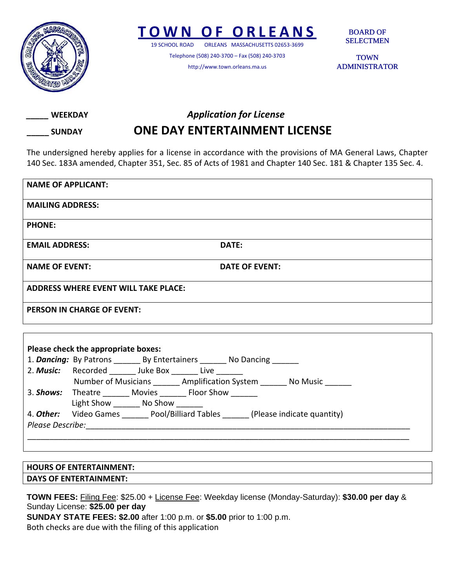

## **TOWN O F ORLEANS**

19 SCHOOL ROAD ORLEANS MASSACHUSETTS 02653‐3699

Telephone (508) 240‐3700 – Fax (508) 240‐3703 http://www.town.orleans.ma.us

BOARD OF SELECTMEN

**TOWN** ADMINISTRATOR

*\_\_\_\_\_* **WEEKDAY** *Application for License*

## **\_\_\_\_\_ SUNDAY ONE DAY ENTERTAINMENT LICENSE**

The undersigned hereby applies for a license in accordance with the provisions of MA General Laws, Chapter 140 Sec. 183A amended, Chapter 351, Sec. 85 of Acts of 1981 and Chapter 140 Sec. 181 & Chapter 135 Sec. 4.

| <b>NAME OF APPLICANT:</b>                                                             |                |
|---------------------------------------------------------------------------------------|----------------|
| <b>MAILING ADDRESS:</b>                                                               |                |
| <b>PHONE:</b>                                                                         |                |
| <b>EMAIL ADDRESS:</b>                                                                 | DATE:          |
| <b>NAME OF EVENT:</b>                                                                 | DATE OF EVENT: |
| <b>ADDRESS WHERE EVENT WILL TAKE PLACE:</b>                                           |                |
| <b>PERSON IN CHARGE OF EVENT:</b>                                                     |                |
|                                                                                       |                |
| Please check the appropriate boxes:                                                   |                |
| 1. Dancing: By Patrons _______ By Entertainers _______ No Dancing ______              |                |
| 2. Music: Recorded Juke Box Live                                                      |                |
| Number of Musicians ________ Amplification System ________ No Music _______           |                |
| 3. Shows: Theatre ________ Movies ________ Floor Show ________                        |                |
| Light Show __________ No Show ________                                                |                |
| 4. Other: Video Games _______ Pool/Billiard Tables _______ (Please indicate quantity) |                |
|                                                                                       |                |
|                                                                                       |                |

**HOURS OF ENTERTAINMENT: DAYS OF ENTERTAINMENT:**

**TOWN FEES:** Filing Fee: \$25.00 + License Fee: Weekday license (Monday-Saturday): **\$30.00 per day** & Sunday License: **\$25.00 per day SUNDAY STATE FEES: \$2.00** after 1:00 p.m. or **\$5.00** prior to 1:00 p.m.

Both checks are due with the filing of this application